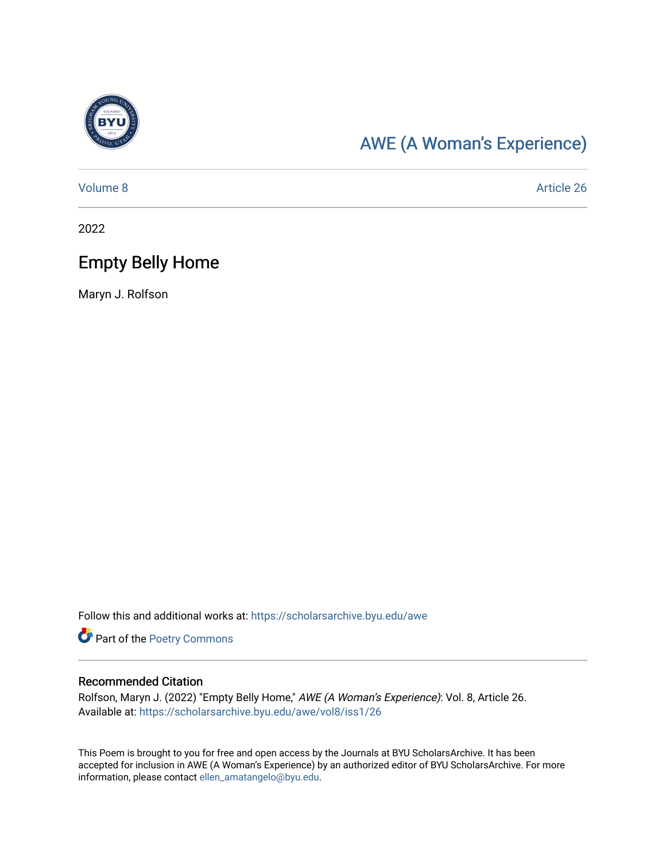

## [AWE \(A Woman's Experience\)](https://scholarsarchive.byu.edu/awe)

[Volume 8](https://scholarsarchive.byu.edu/awe/vol8) Article 26

2022

## Empty Belly Home

Maryn J. Rolfson

Follow this and additional works at: [https://scholarsarchive.byu.edu/awe](https://scholarsarchive.byu.edu/awe?utm_source=scholarsarchive.byu.edu%2Fawe%2Fvol8%2Fiss1%2F26&utm_medium=PDF&utm_campaign=PDFCoverPages)

Part of the [Poetry Commons](https://network.bepress.com/hgg/discipline/1153?utm_source=scholarsarchive.byu.edu%2Fawe%2Fvol8%2Fiss1%2F26&utm_medium=PDF&utm_campaign=PDFCoverPages) 

## Recommended Citation

Rolfson, Maryn J. (2022) "Empty Belly Home," AWE (A Woman's Experience): Vol. 8, Article 26. Available at: [https://scholarsarchive.byu.edu/awe/vol8/iss1/26](https://scholarsarchive.byu.edu/awe/vol8/iss1/26?utm_source=scholarsarchive.byu.edu%2Fawe%2Fvol8%2Fiss1%2F26&utm_medium=PDF&utm_campaign=PDFCoverPages) 

This Poem is brought to you for free and open access by the Journals at BYU ScholarsArchive. It has been accepted for inclusion in AWE (A Woman's Experience) by an authorized editor of BYU ScholarsArchive. For more information, please contact [ellen\\_amatangelo@byu.edu.](mailto:ellen_amatangelo@byu.edu)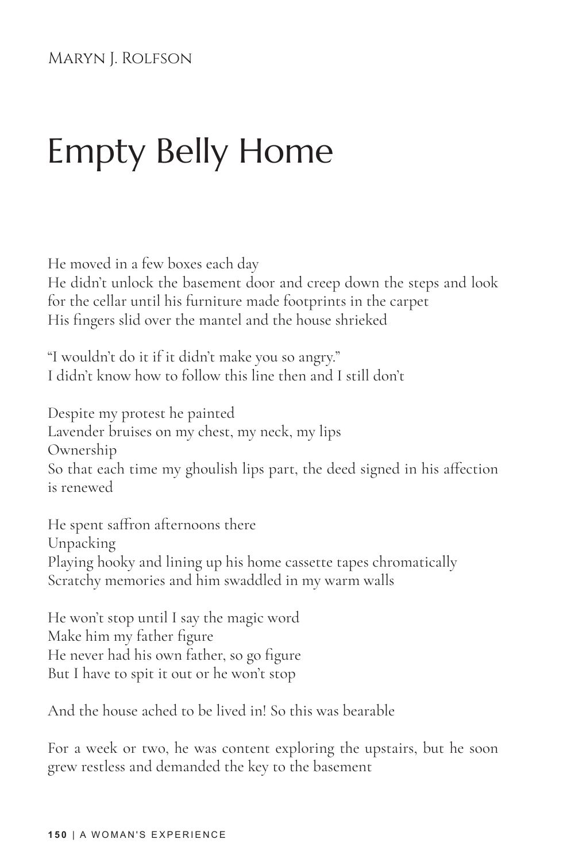## Empty Belly Home

He moved in a few boxes each day

He didn't unlock the basement door and creep down the steps and look for the cellar until his furniture made footprints in the carpet His fingers slid over the mantel and the house shrieked

"I wouldn't do it if it didn't make you so angry." I didn't know how to follow this line then and I still don't

Despite my protest he painted Lavender bruises on my chest, my neck, my lips Ownership So that each time my ghoulish lips part, the deed signed in his affection is renewed

He spent saffron afternoons there Unpacking Playing hooky and lining up his home cassette tapes chromatically Scratchy memories and him swaddled in my warm walls

He won't stop until I say the magic word Make him my father figure He never had his own father, so go figure But I have to spit it out or he won't stop

And the house ached to be lived in! So this was bearable

For a week or two, he was content exploring the upstairs, but he soon grew restless and demanded the key to the basement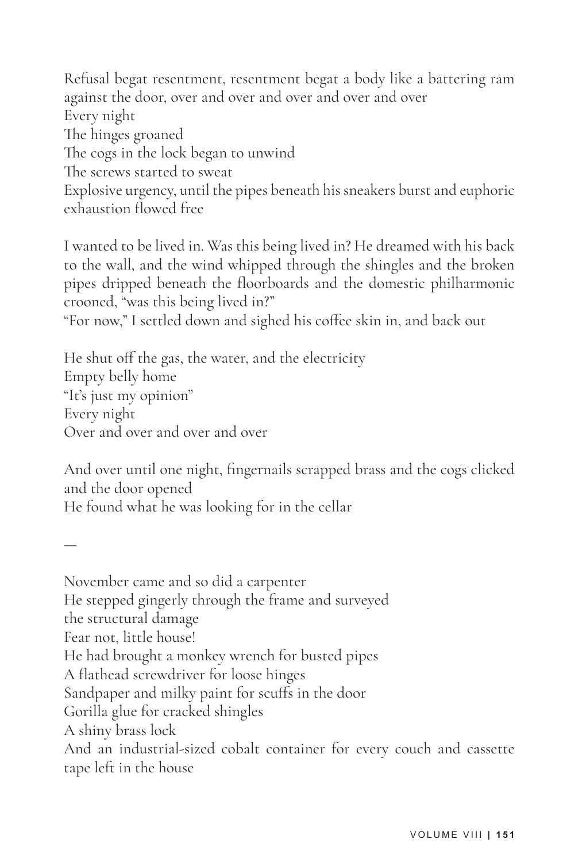Refusal begat resentment, resentment begat a body like a battering ram against the door, over and over and over and over and over Every night The hinges groaned The cogs in the lock began to unwind The screws started to sweat Explosive urgency, until the pipes beneath his sneakers burst and euphoric exhaustion flowed free

I wanted to be lived in. Was this being lived in? He dreamed with his back to the wall, and the wind whipped through the shingles and the broken pipes dripped beneath the floorboards and the domestic philharmonic crooned, "was this being lived in?"

"For now," I settled down and sighed his coffee skin in, and back out

He shut off the gas, the water, and the electricity Empty belly home "It's just my opinion" Every night Over and over and over and over

—

And over until one night, fingernails scrapped brass and the cogs clicked and the door opened He found what he was looking for in the cellar

November came and so did a carpenter He stepped gingerly through the frame and surveyed the structural damage Fear not, little house! He had brought a monkey wrench for busted pipes A flathead screwdriver for loose hinges Sandpaper and milky paint for scuffs in the door Gorilla glue for cracked shingles A shiny brass lock And an industrial-sized cobalt container for every couch and cassette tape left in the house